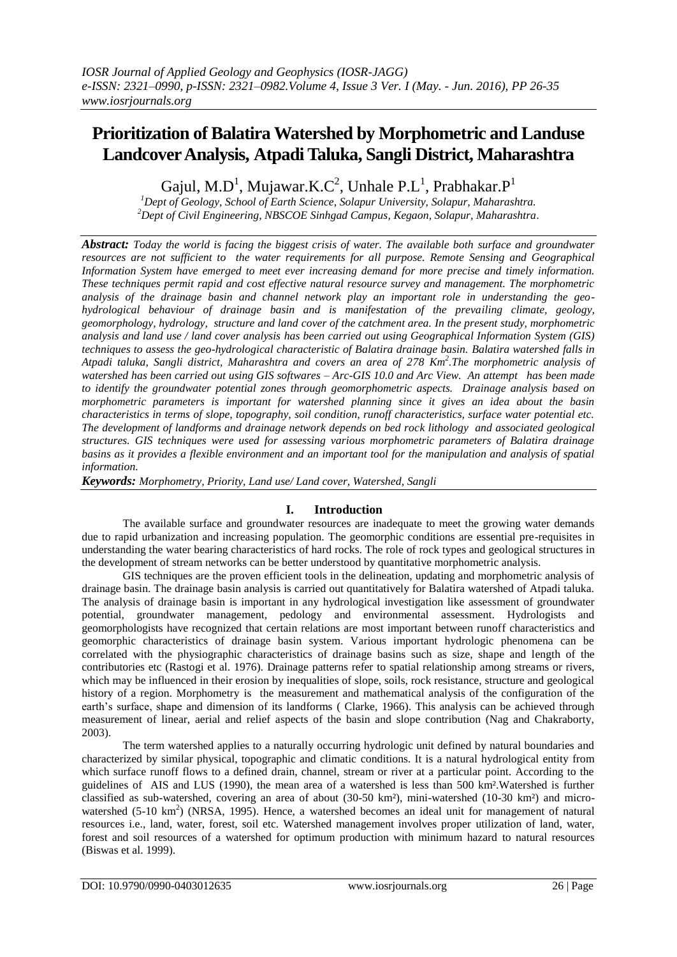# **Prioritization of Balatira Watershed by Morphometric and Landuse Landcover Analysis, Atpadi Taluka, Sangli District, Maharashtra**

Gajul, M.D<sup>1</sup>, Mujawar.K.C<sup>2</sup>, Unhale P.L<sup>1</sup>, Prabhakar.P<sup>1</sup>

*<sup>1</sup>Dept of Geology, School of Earth Science, Solapur University, Solapur, Maharashtra. <sup>2</sup>Dept of Civil Engineering, NBSCOE Sinhgad Campus, Kegaon, Solapur, Maharashtra*.

*Abstract: Today the world is facing the biggest crisis of water. The available both surface and groundwater resources are not sufficient to the water requirements for all purpose. Remote Sensing and Geographical Information System have emerged to meet ever increasing demand for more precise and timely information. These techniques permit rapid and cost effective natural resource survey and management. The morphometric analysis of the drainage basin and channel network play an important role in understanding the geohydrological behaviour of drainage basin and is manifestation of the prevailing climate, geology, geomorphology, hydrology, structure and land cover of the catchment area. In the present study, morphometric analysis and land use / land cover analysis has been carried out using Geographical Information System (GIS) techniques to assess the geo-hydrological characteristic of Balatira drainage basin. Balatira watershed falls in Atpadi taluka, Sangli district, Maharashtra and covers an area of 278 Km<sup>2</sup> .The morphometric analysis of watershed has been carried out using GIS softwares – Arc-GIS 10.0 and Arc View. An attempt has been made to identify the groundwater potential zones through geomorphometric aspects. Drainage analysis based on morphometric parameters is important for watershed planning since it gives an idea about the basin characteristics in terms of slope, topography, soil condition, runoff characteristics, surface water potential etc. The development of landforms and drainage network depends on bed rock lithology and associated geological structures. GIS techniques were used for assessing various morphometric parameters of Balatira drainage basins as it provides a flexible environment and an important tool for the manipulation and analysis of spatial information.*

*Keywords: Morphometry, Priority, Land use/ Land cover, Watershed, Sangli*

# **I. Introduction**

The available surface and groundwater resources are inadequate to meet the growing water demands due to rapid urbanization and increasing population. The geomorphic conditions are essential pre-requisites in understanding the water bearing characteristics of hard rocks. The role of rock types and geological structures in the development of stream networks can be better understood by quantitative morphometric analysis.

GIS techniques are the proven efficient tools in the delineation, updating and morphometric analysis of drainage basin. The drainage basin analysis is carried out quantitatively for Balatira watershed of Atpadi taluka. The analysis of drainage basin is important in any hydrological investigation like assessment of groundwater potential, groundwater management, pedology and environmental assessment. Hydrologists and geomorphologists have recognized that certain relations are most important between runoff characteristics and geomorphic characteristics of drainage basin system. Various important hydrologic phenomena can be correlated with the physiographic characteristics of drainage basins such as size, shape and length of the contributories etc (Rastogi et al. 1976). Drainage patterns refer to spatial relationship among streams or rivers, which may be influenced in their erosion by inequalities of slope, soils, rock resistance, structure and geological history of a region. Morphometry is the measurement and mathematical analysis of the configuration of the earth's surface, shape and dimension of its landforms ( Clarke, 1966). This analysis can be achieved through measurement of linear, aerial and relief aspects of the basin and slope contribution (Nag and Chakraborty, 2003).

The term watershed applies to a naturally occurring hydrologic unit defined by natural boundaries and characterized by similar physical, topographic and climatic conditions. It is a natural hydrological entity from which surface runoff flows to a defined drain, channel, stream or river at a particular point. According to the guidelines of AIS and LUS (1990), the mean area of a watershed is less than 500 km².Watershed is further classified as sub-watershed, covering an area of about (30-50 km²), mini-watershed (10-30 km²) and microwatershed (5-10 km<sup>2</sup>) (NRSA, 1995). Hence, a watershed becomes an ideal unit for management of natural resources i.e., land, water, forest, soil etc. Watershed management involves proper utilization of land, water, forest and soil resources of a watershed for optimum production with minimum hazard to natural resources (Biswas et al. 1999).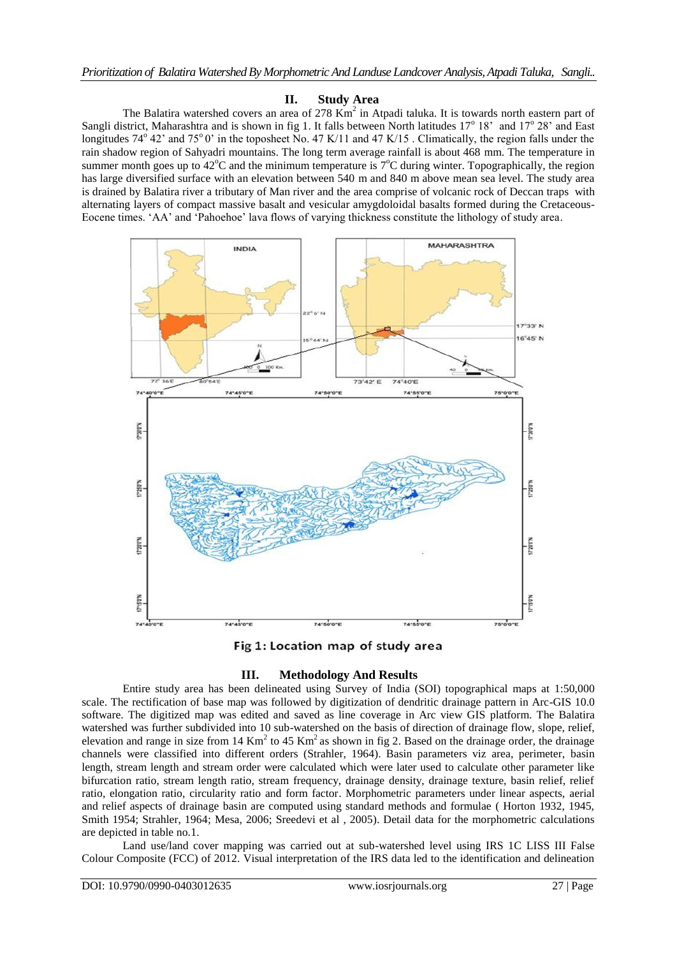## **II. Study Area**

The Balatira watershed covers an area of  $278 \text{ Km}^2$  in Atpadi taluka. It is towards north eastern part of Sangli district, Maharashtra and is shown in fig 1. It falls between North latitudes  $17^{\circ}$  18' and  $17^{\circ}$  28' and East longitudes  $74^{\circ}$  42' and  $75^{\circ}$  0' in the toposheet No. 47 K/11 and 47 K/15. Climatically, the region falls under the rain shadow region of Sahyadri mountains. The long term average rainfall is about 468 mm. The temperature in summer month goes up to  $42^{\circ}$ C and the minimum temperature is  $7^{\circ}$ C during winter. Topographically, the region has large diversified surface with an elevation between 540 m and 840 m above mean sea level. The study area is drained by Balatira river a tributary of Man river and the area comprise of volcanic rock of Deccan traps with alternating layers of compact massive basalt and vesicular amygdoloidal basalts formed during the Cretaceous-Eocene times. 'AA' and 'Pahoehoe' lava flows of varying thickness constitute the lithology of study area.



Fig 1: Location map of study area

# **III. Methodology And Results**

Entire study area has been delineated using Survey of India (SOI) topographical maps at 1:50,000 scale. The rectification of base map was followed by digitization of dendritic drainage pattern in Arc-GIS 10.0 software. The digitized map was edited and saved as line coverage in Arc view GIS platform. The Balatira watershed was further subdivided into 10 sub-watershed on the basis of direction of drainage flow, slope, relief, elevation and range in size from 14  $Km^2$  to 45  $Km^2$  as shown in fig 2. Based on the drainage order, the drainage channels were classified into different orders (Strahler, 1964). Basin parameters viz area, perimeter, basin length, stream length and stream order were calculated which were later used to calculate other parameter like bifurcation ratio, stream length ratio, stream frequency, drainage density, drainage texture, basin relief, relief ratio, elongation ratio, circularity ratio and form factor. Morphometric parameters under linear aspects, aerial and relief aspects of drainage basin are computed using standard methods and formulae ( Horton 1932, 1945, Smith 1954; Strahler, 1964; Mesa, 2006; Sreedevi et al , 2005). Detail data for the morphometric calculations are depicted in table no.1.

Land use/land cover mapping was carried out at sub-watershed level using IRS 1C LISS III False Colour Composite (FCC) of 2012. Visual interpretation of the IRS data led to the identification and delineation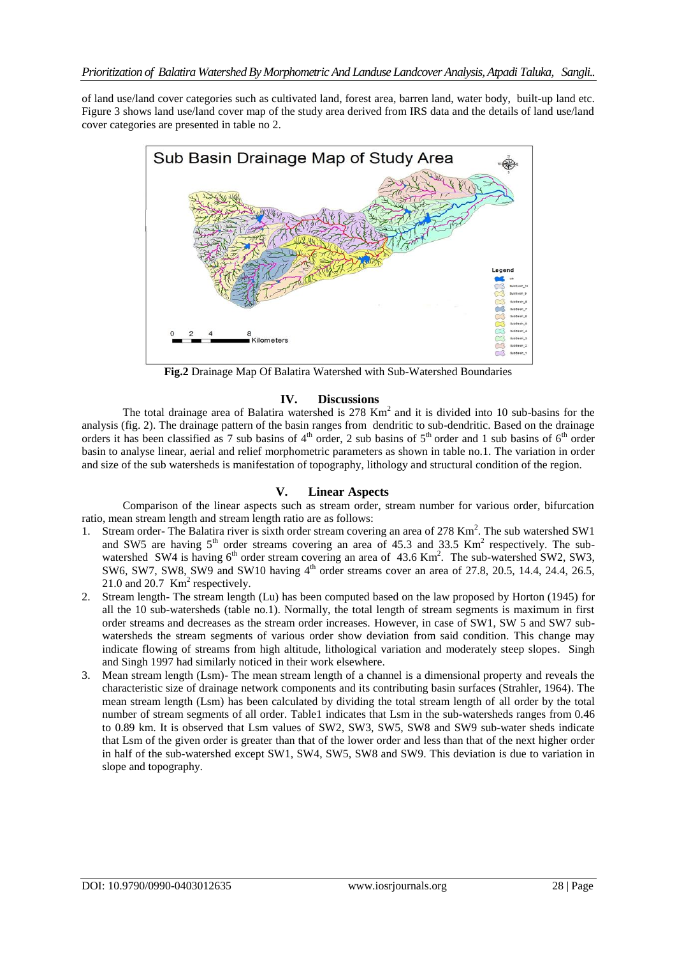of land use/land cover categories such as cultivated land, forest area, barren land, water body, built-up land etc. Figure 3 shows land use/land cover map of the study area derived from IRS data and the details of land use/land cover categories are presented in table no 2.



**Fig.2** Drainage Map Of Balatira Watershed with Sub-Watershed Boundaries

## **IV. Discussions**

The total drainage area of Balatira watershed is  $278 \text{ Km}^2$  and it is divided into 10 sub-basins for the analysis (fig. 2). The drainage pattern of the basin ranges from dendritic to sub-dendritic. Based on the drainage orders it has been classified as 7 sub basins of  $4<sup>th</sup>$  order, 2 sub basins of  $5<sup>th</sup>$  order and 1 sub basins of  $6<sup>th</sup>$  order basin to analyse linear, aerial and relief morphometric parameters as shown in table no.1. The variation in order and size of the sub watersheds is manifestation of topography, lithology and structural condition of the region.

# **V. Linear Aspects**

Comparison of the linear aspects such as stream order, stream number for various order, bifurcation ratio, mean stream length and stream length ratio are as follows:

- 1. Stream order- The Balatira river is sixth order stream covering an area of 278 Km<sup>2</sup>. The sub watershed SW1 and SW5 are having  $5<sup>th</sup>$  order streams covering an area of 45.3 and 33.5 Km<sup>2</sup> respectively. The subwatershed SW4 is having 6<sup>th</sup> order stream covering an area of 43.6 Km<sup>2</sup>. The sub-watershed SW2, SW3, SW6, SW7, SW8, SW9 and SW10 having  $4<sup>th</sup>$  order streams cover an area of 27.8, 20.5, 14.4, 24.4, 26.5, 21.0 and 20.7  $\text{Km}^2$  respectively.
- 2. Stream length- The stream length (Lu) has been computed based on the law proposed by Horton (1945) for all the 10 sub-watersheds (table no.1). Normally, the total length of stream segments is maximum in first order streams and decreases as the stream order increases. However, in case of SW1, SW 5 and SW7 subwatersheds the stream segments of various order show deviation from said condition. This change may indicate flowing of streams from high altitude, lithological variation and moderately steep slopes. Singh and Singh 1997 had similarly noticed in their work elsewhere.
- 3. Mean stream length (Lsm)- The mean stream length of a channel is a dimensional property and reveals the characteristic size of drainage network components and its contributing basin surfaces (Strahler, 1964). The mean stream length (Lsm) has been calculated by dividing the total stream length of all order by the total number of stream segments of all order. Table1 indicates that Lsm in the sub-watersheds ranges from 0.46 to 0.89 km. It is observed that Lsm values of SW2, SW3, SW5, SW8 and SW9 sub-water sheds indicate that Lsm of the given order is greater than that of the lower order and less than that of the next higher order in half of the sub-watershed except SW1, SW4, SW5, SW8 and SW9. This deviation is due to variation in slope and topography.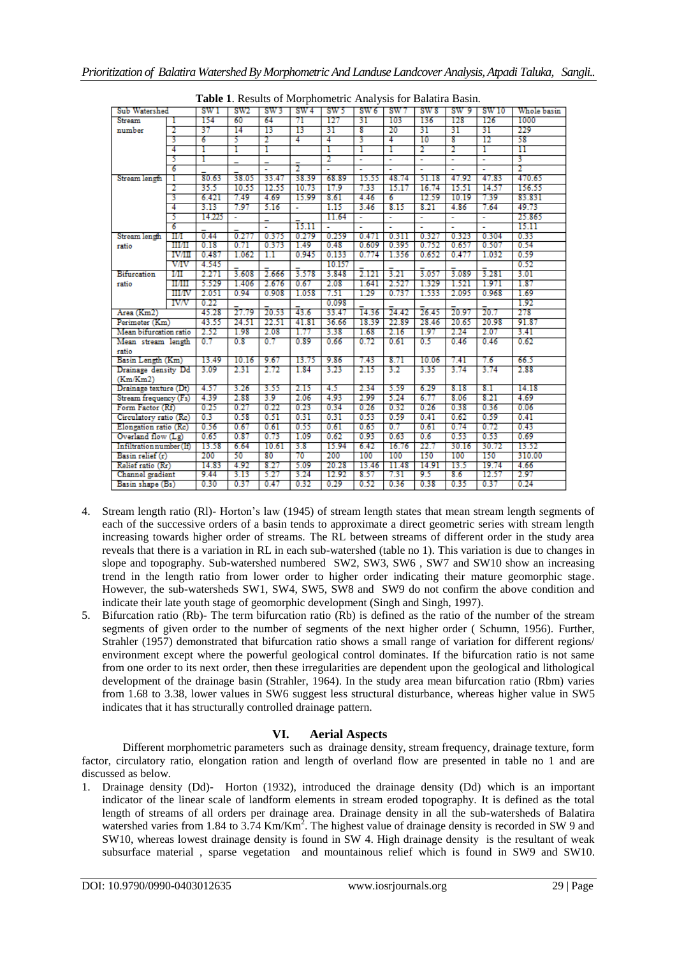| Sub Watershed            |               | SW I     | SW <sub>2</sub>       | SW3           | SW <sub>4</sub> | 1. Results of morphometric <i>i</i> that you for Dunanta Dasm.<br>SW5 | SW <sub>6</sub> | sw7      | SW <sub>8</sub> | SW 9  | SW 10        | Whole basin |
|--------------------------|---------------|----------|-----------------------|---------------|-----------------|-----------------------------------------------------------------------|-----------------|----------|-----------------|-------|--------------|-------------|
| Stream                   | 1             | 154      | 60                    | 64            | 71              | 127                                                                   | 31              | 103      | 136             | 128   | 126          | 1000        |
| number                   | 2             | 37       | 14                    | 13            | 13              | 31                                                                    | 8               | 20       | 31              | 31    | 31           | 229         |
|                          | 3             | 6        | 5                     | 2             | 4               | 4                                                                     | 3               | 4        | 10              | 8     | 12           | 58          |
|                          | 4             | I        | Γ                     | Γ             |                 | Γ                                                                     | 1               | Γ        | 2               | 2     | Γ            | π           |
|                          | 5             | I        |                       |               |                 | 2                                                                     | ٠               | ÷        | Ξ               | Ξ     | ÷            | з           |
|                          | 6             |          |                       |               |                 |                                                                       | ä,              |          | $\mathbf{r}$    | ä,    | ä,           | 2           |
| Stream length            | т             | 80.63    | 38.05                 | 33.47         | 38.39           | 68.89                                                                 | 15.55           | 48.74    | 51.18           | 47.92 | 47.83        | 470.65      |
|                          | 2             | 35.5     | 10.55                 | 12.55         | 10.73           | 17.9                                                                  | 7.33            | 15.17    | 16.74           | 15.51 | 14.57        | 156.55      |
|                          | 3             | 6.421    | 7.49                  | 4.69          | 15.99           | 8.61                                                                  | 4.46            | 6        | 12.59           | 10.19 | 7.39         | 83.831      |
|                          | 4             | 3.13     | 7.97                  | 5.16          | ÷               | 1.15                                                                  | 3.46            | 8.15     | 8.21            | 4.86  | 7.64         | 49.73       |
|                          | 5             | 14.225   | $\tilde{\phantom{a}}$ |               |                 | 11.64                                                                 | ٠               | ÷        | ÷.              | ÷     | ä,           | 25.865      |
|                          | 6             |          |                       | ä,            | 15.11           |                                                                       |                 |          |                 | ä,    |              | 15.11       |
| Stream length            | Ш             | 0.44     | 0.277                 | 0.375         | 0.279           | 0.259                                                                 | 0.471           | 0.311    | 0.327           | 0.323 | 0.304        | 0.33        |
|                          | шл            | 0.18     | 0.71                  | 0.373         | 1.49            | 0.48                                                                  | 0.609           | 0.395    | 0.752           | 0.657 | 0.507        | 0.54        |
| ratio                    | <b>IV/III</b> | 0.487    | 1.062                 | 1.1           | 0.945           | 0.133                                                                 | 0.774           | 1.356    | 0.652           | 0.477 | 1.032        | 0.59        |
|                          | <b>V/IV</b>   | 4.545    |                       |               |                 | 10.157                                                                |                 |          |                 |       |              | 0.52        |
|                          |               |          | 3.608                 | 2.666         |                 |                                                                       |                 | 3.21     | 3.057           | 3.089 | 3.281        | 3.01        |
| <b>Bifurcation</b>       | Ш             | 2.271    |                       |               | 3.578           | 3.848                                                                 | 2.121           |          |                 |       |              |             |
| ratio                    | ниш           | 5.529    | 1.406                 | 2.676         | 0.67            | 2.08                                                                  | 1.641           | 2.527    | 1.329           | 1.521 | 1.971        | 1.87        |
|                          | <b>HI/IV</b>  | 2.051    | 0.94                  | 0.908         | 1.058           | 7.51                                                                  | 1.29            | 0.737    | 1.533           | 2.095 | 0.968        | 1.69        |
|                          | <b>IV/V</b>   | 0.22     |                       |               |                 | 0.098                                                                 |                 |          |                 |       |              | 1.92        |
| Area (Km2)               |               | 45.28    | 27.79                 | $\bar{20.53}$ | $\bar{4}3.6$    | 33.47                                                                 | 14.36           | 24.42    | $\bar{26.45}$   | 20.97 | $\bar{20.7}$ | 278         |
| Perimeter (Km)           |               | 43.55    | 24.51                 | 22.51         | 41.81           | 36.66                                                                 | 18.39           | 22.89    | 28.46           | 20.65 | 20.98        | 91.87       |
| Mean bifurcation ratio   |               | 2.52     | 1.98                  | 2.08          | 1.77            | 3.38                                                                  | 1.68            | 2.16     | 1.97            | 2.24  | 2.07         | 3.41        |
| Mean stream length       |               | $_{0.7}$ | 0.8                   | 0.7           | 0.89            | 0.66                                                                  | 0.72            | 0.61     | 0.5             | 0.46  | 0.46         | 0.62        |
| ratio                    |               |          |                       |               |                 |                                                                       |                 |          |                 |       |              |             |
| Basin Length (Km)        |               | 13.49    | 10.16                 | 9.67          | 13.75           | 9.86                                                                  | 7.43            | 8.71     | 10.06           | 7.41  | 7.6          | 66.5        |
| Drainage density Dd      |               | 3.09     | 2.31                  | 2.72          | 1.84            | 3.23                                                                  | 2.15            | 3.2      | 3.35            | 3.74  | 3.74         | 2.88        |
| (Km/Km2)                 |               |          |                       |               |                 |                                                                       |                 |          |                 |       |              |             |
| Drainage texture (Dt)    |               | 4.57     | 3.26                  | 3.55          | 2.15            | 4.5                                                                   | 2.34            | 5.59     | 6.29            | 8.18  | 8.1          | 14.18       |
| Stream frequency (Fs)    |               | 4.39     | 2.88                  | 3.9           | 2.06            | 4.93                                                                  | 2.99            | 5.24     | 6.77            | 8.06  | 8.21         | 4.69        |
| Form Factor (Rf)         |               | 0.25     | 0.27                  | 0.22          | 0.23            | 0.34                                                                  | 0.26            | 0.32     | 0.26            | 0.38  | 0.36         | 0.06        |
| Circulatory ratio (Rc)   |               | 0.3      | 0.58                  | 0.51          | 0.31            | 0.31                                                                  | 0.53            | 0.59     | 0.41            | 0.62  | 0.59         | 0.41        |
| Elongation ratio (Rc)    |               | 0.56     | 0.67                  | 0.61          | 0.55            | 0.61                                                                  | 0.65            | $_{0.7}$ | 0.61            | 0.74  | 0.72         | 0.43        |
| Overland flow $(Lg)$     |               | 0.65     | 0.87                  | 0.73          | 1.09            | 0.62                                                                  | 0.93            | 0.63     | 0.6             | 0.53  | 0.53         | 0.69        |
| Infiltration number (If) |               | 13.58    | 6.64                  | 10.61         | 3.8             | 15.94                                                                 | 6.42            | 16.76    | 22.7            | 30.16 | 30.72        | 13.52       |
| Basin relief (r)         |               | 200      | 50                    | 80            | 70              | 200                                                                   | 100             | 100      | 150             | 100   | 150          | 310.00      |
| Relief ratio (Rr)        |               | 14.83    | 4.92                  | 8.27          | 5.09            | 20.28                                                                 | 13.46           | 11.48    | 14.91           | 13.5  | 19.74        | 4.66        |
| Channel gradient         |               | 9.44     | 3.13                  | 5.27          | 3.24            | 12.92                                                                 | 8.57            | 7.31     | 9.5             | 8.6   | 12.57        | 2.97        |
| Basin shape (Bs)         |               | 0.30     | 0.37                  | 0.47          | 0.32            | 0.29                                                                  | 0.52            | 0.36     | 0.38            | 0.35  | 0.37         | 0.24        |

**Table 1**. Results of Morphometric Analysis for Balatira Basin.

- 4. Stream length ratio (Rl)- Horton's law (1945) of stream length states that mean stream length segments of each of the successive orders of a basin tends to approximate a direct geometric series with stream length increasing towards higher order of streams. The RL between streams of different order in the study area reveals that there is a variation in RL in each sub-watershed (table no 1). This variation is due to changes in slope and topography. Sub-watershed numbered SW2, SW3, SW6 , SW7 and SW10 show an increasing trend in the length ratio from lower order to higher order indicating their mature geomorphic stage. However, the sub-watersheds SW1, SW4, SW5, SW8 and SW9 do not confirm the above condition and indicate their late youth stage of geomorphic development (Singh and Singh, 1997).
- 5. Bifurcation ratio (Rb)- The term bifurcation ratio (Rb) is defined as the ratio of the number of the stream segments of given order to the number of segments of the next higher order ( Schumn, 1956). Further, Strahler (1957) demonstrated that bifurcation ratio shows a small range of variation for different regions/ environment except where the powerful geological control dominates. If the bifurcation ratio is not same from one order to its next order, then these irregularities are dependent upon the geological and lithological development of the drainage basin (Strahler, 1964). In the study area mean bifurcation ratio (Rbm) varies from 1.68 to 3.38, lower values in SW6 suggest less structural disturbance, whereas higher value in SW5 indicates that it has structurally controlled drainage pattern.

# **VI. Aerial Aspects**

Different morphometric parameters such as drainage density, stream frequency, drainage texture, form factor, circulatory ratio, elongation ration and length of overland flow are presented in table no 1 and are discussed as below.

1. Drainage density (Dd)- Horton (1932), introduced the drainage density (Dd) which is an important indicator of the linear scale of landform elements in stream eroded topography. It is defined as the total length of streams of all orders per drainage area. Drainage density in all the sub-watersheds of Balatira watershed varies from 1.84 to 3.74 Km/Km<sup>2</sup>. The highest value of drainage density is recorded in SW 9 and SW10, whereas lowest drainage density is found in SW 4. High drainage density is the resultant of weak subsurface material , sparse vegetation and mountainous relief which is found in SW9 and SW10.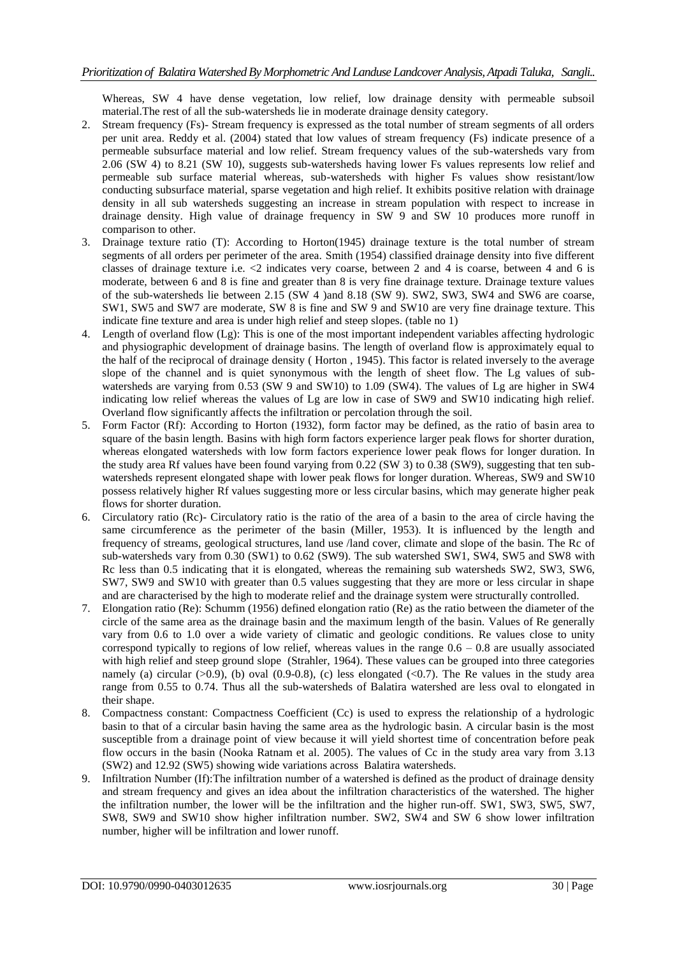Whereas, SW 4 have dense vegetation, low relief, low drainage density with permeable subsoil material.The rest of all the sub-watersheds lie in moderate drainage density category.

- 2. Stream frequency (Fs)- Stream frequency is expressed as the total number of stream segments of all orders per unit area. Reddy et al. (2004) stated that low values of stream frequency (Fs) indicate presence of a permeable subsurface material and low relief. Stream frequency values of the sub-watersheds vary from 2.06 (SW 4) to 8.21 (SW 10), suggests sub-watersheds having lower Fs values represents low relief and permeable sub surface material whereas, sub-watersheds with higher Fs values show resistant/low conducting subsurface material, sparse vegetation and high relief. It exhibits positive relation with drainage density in all sub watersheds suggesting an increase in stream population with respect to increase in drainage density. High value of drainage frequency in SW 9 and SW 10 produces more runoff in comparison to other.
- 3. Drainage texture ratio (T): According to Horton(1945) drainage texture is the total number of stream segments of all orders per perimeter of the area. Smith (1954) classified drainage density into five different classes of drainage texture i.e. <2 indicates very coarse, between 2 and 4 is coarse, between 4 and 6 is moderate, between 6 and 8 is fine and greater than 8 is very fine drainage texture. Drainage texture values of the sub-watersheds lie between 2.15 (SW 4 )and 8.18 (SW 9). SW2, SW3, SW4 and SW6 are coarse, SW1, SW5 and SW7 are moderate, SW 8 is fine and SW 9 and SW10 are very fine drainage texture. This indicate fine texture and area is under high relief and steep slopes. (table no 1)
- 4. Length of overland flow (Lg): This is one of the most important independent variables affecting hydrologic and physiographic development of drainage basins. The length of overland flow is approximately equal to the half of the reciprocal of drainage density ( Horton , 1945). This factor is related inversely to the average slope of the channel and is quiet synonymous with the length of sheet flow. The Lg values of subwatersheds are varying from 0.53 (SW 9 and SW10) to 1.09 (SW4). The values of Lg are higher in SW4 indicating low relief whereas the values of Lg are low in case of SW9 and SW10 indicating high relief. Overland flow significantly affects the infiltration or percolation through the soil.
- 5. Form Factor (Rf): According to Horton (1932), form factor may be defined, as the ratio of basin area to square of the basin length. Basins with high form factors experience larger peak flows for shorter duration, whereas elongated watersheds with low form factors experience lower peak flows for longer duration. In the study area Rf values have been found varying from 0.22 (SW 3) to 0.38 (SW9), suggesting that ten subwatersheds represent elongated shape with lower peak flows for longer duration. Whereas, SW9 and SW10 possess relatively higher Rf values suggesting more or less circular basins, which may generate higher peak flows for shorter duration.
- 6. Circulatory ratio (Rc)- Circulatory ratio is the ratio of the area of a basin to the area of circle having the same circumference as the perimeter of the basin (Miller, 1953). It is influenced by the length and frequency of streams, geological structures, land use /land cover, climate and slope of the basin. The Rc of sub-watersheds vary from 0.30 (SW1) to 0.62 (SW9). The sub watershed SW1, SW4, SW5 and SW8 with Rc less than 0.5 indicating that it is elongated, whereas the remaining sub watersheds SW2, SW3, SW6, SW7, SW9 and SW10 with greater than 0.5 values suggesting that they are more or less circular in shape and are characterised by the high to moderate relief and the drainage system were structurally controlled.
- 7. Elongation ratio (Re): Schumm (1956) defined elongation ratio (Re) as the ratio between the diameter of the circle of the same area as the drainage basin and the maximum length of the basin. Values of Re generally vary from 0.6 to 1.0 over a wide variety of climatic and geologic conditions. Re values close to unity correspond typically to regions of low relief, whereas values in the range  $0.6 - 0.8$  are usually associated with high relief and steep ground slope (Strahler, 1964). These values can be grouped into three categories namely (a) circular  $(>0.9)$ , (b) oval  $(0.9-0.8)$ , (c) less elongated  $(<0.7)$ . The Re values in the study area range from 0.55 to 0.74. Thus all the sub-watersheds of Balatira watershed are less oval to elongated in their shape.
- 8. Compactness constant: Compactness Coefficient (Cc) is used to express the relationship of a hydrologic basin to that of a circular basin having the same area as the hydrologic basin. A circular basin is the most susceptible from a drainage point of view because it will yield shortest time of concentration before peak flow occurs in the basin (Nooka Ratnam et al. 2005). The values of Cc in the study area vary from 3.13 (SW2) and 12.92 (SW5) showing wide variations across Balatira watersheds.
- 9. Infiltration Number (If):The infiltration number of a watershed is defined as the product of drainage density and stream frequency and gives an idea about the infiltration characteristics of the watershed. The higher the infiltration number, the lower will be the infiltration and the higher run-off. SW1, SW3, SW5, SW7, SW8, SW9 and SW10 show higher infiltration number. SW2, SW4 and SW 6 show lower infiltration number, higher will be infiltration and lower runoff.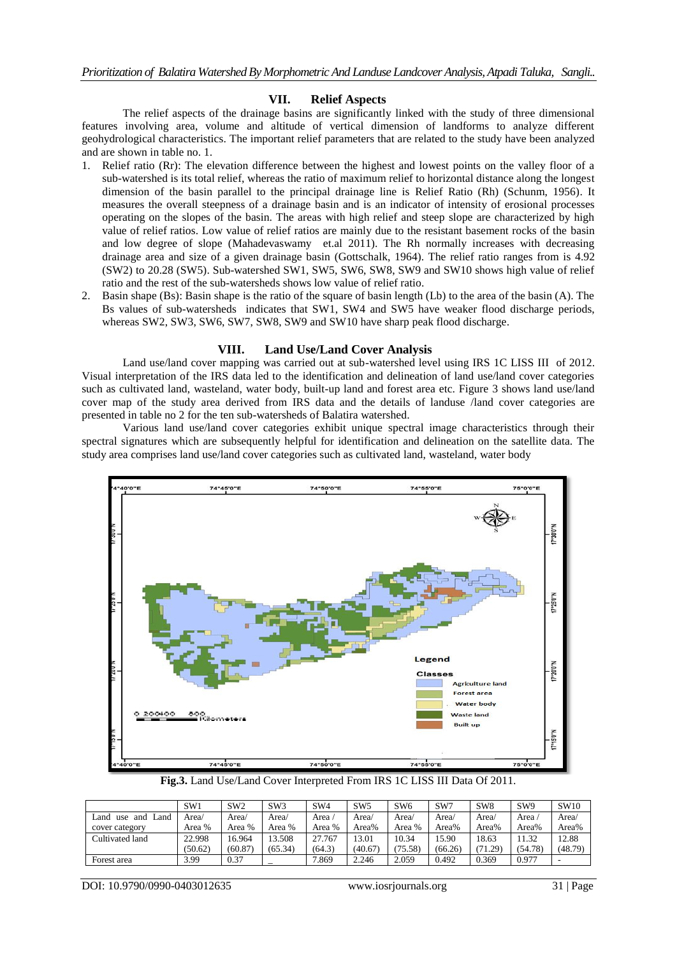# **VII. Relief Aspects**

The relief aspects of the drainage basins are significantly linked with the study of three dimensional features involving area, volume and altitude of vertical dimension of landforms to analyze different geohydrological characteristics. The important relief parameters that are related to the study have been analyzed and are shown in table no. 1.

- 1. Relief ratio (Rr): The elevation difference between the highest and lowest points on the valley floor of a sub-watershed is its total relief, whereas the ratio of maximum relief to horizontal distance along the longest dimension of the basin parallel to the principal drainage line is Relief Ratio (Rh) (Schunm, 1956). It measures the overall steepness of a drainage basin and is an indicator of intensity of erosional processes operating on the slopes of the basin. The areas with high relief and steep slope are characterized by high value of relief ratios. Low value of relief ratios are mainly due to the resistant basement rocks of the basin and low degree of slope (Mahadevaswamy et.al 2011). The Rh normally increases with decreasing drainage area and size of a given drainage basin (Gottschalk, 1964). The relief ratio ranges from is 4.92 (SW2) to 20.28 (SW5). Sub-watershed SW1, SW5, SW6, SW8, SW9 and SW10 shows high value of relief ratio and the rest of the sub-watersheds shows low value of relief ratio.
- 2. Basin shape (Bs): Basin shape is the ratio of the square of basin length (Lb) to the area of the basin (A). The Bs values of sub-watersheds indicates that SW1, SW4 and SW5 have weaker flood discharge periods, whereas SW2, SW3, SW6, SW7, SW8, SW9 and SW10 have sharp peak flood discharge.

## **VIII. Land Use/Land Cover Analysis**

Land use/land cover mapping was carried out at sub-watershed level using IRS 1C LISS III of 2012. Visual interpretation of the IRS data led to the identification and delineation of land use/land cover categories such as cultivated land, wasteland, water body, built-up land and forest area etc. Figure 3 shows land use/land cover map of the study area derived from IRS data and the details of landuse /land cover categories are presented in table no 2 for the ten sub-watersheds of Balatira watershed.

Various land use/land cover categories exhibit unique spectral image characteristics through their spectral signatures which are subsequently helpful for identification and delineation on the satellite data. The study area comprises land use/land cover categories such as cultivated land, wasteland, water body



**Fig.3.** Land Use/Land Cover Interpreted From IRS 1C LISS III Data Of 2011.

|                             | SW <sub>1</sub> | SW <sub>2</sub> | SW <sub>3</sub> | SW <sub>4</sub> | SW <sub>5</sub> | SW <sub>6</sub> | SW7     | SW <sub>8</sub> | SW <sub>9</sub> | SW10    |
|-----------------------------|-----------------|-----------------|-----------------|-----------------|-----------------|-----------------|---------|-----------------|-----------------|---------|
| Land<br>l and<br>and<br>use | Area/           | Area/           | Area/           | Area .          | Area/           | Area/           | Area/   | Area/           | Area .          | Area/   |
| cover category              | Area %          | Area %          | Area %          | Area %          | Area%           | Area %          | Area%   | Area%           | Area%           | Area%   |
| Cultivated land             | 22.998          | 16.964          | 13.508          | 27.767          | 13.01           | 10.34           | 15.90   | 18.63           | 1.32            | 12.88   |
|                             | (50.62)         | (60.87)         | (65.34)         | (64.3)          | (40.67)         | (75.58)         | (66.26) | (71.29)         | (54.78)         | (48.79) |
| Forest area                 | 3.99            | 0.37            |                 | 7.869           | 2.246           | 2.059           | 0.492   | 0.369           | 0.977           | -       |

DOI: 10.9790/0990-0403012635 www.iosrjournals.org 31 | Page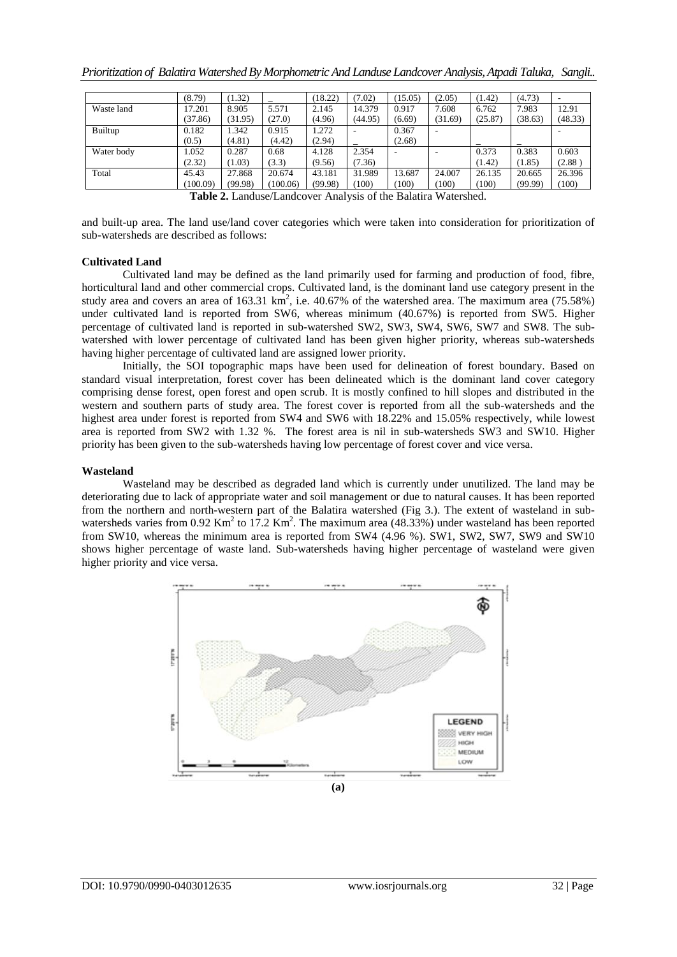|            | (8.79)   | (1.32)  |          | (18.22) | (7.02)  | (15.05) | (2.05)  | (1.42)  | (4.73)  | ۰       |
|------------|----------|---------|----------|---------|---------|---------|---------|---------|---------|---------|
| Waste land | 17.201   | 8.905   | 5.571    | 2.145   | 14.379  | 0.917   | 7.608   | 6.762   | 7.983   | 12.91   |
|            | (37.86)  | (31.95) | (27.0)   | (4.96)  | (44.95) | (6.69)  | (31.69) | (25.87) | (38.63) | (48.33) |
| Builtup    | 0.182    | 1.342   | 0.915    | 1.272   |         | 0.367   |         |         |         |         |
|            | (0.5)    | (4.81)  | (4.42)   | (2.94)  |         | (2.68)  |         |         |         |         |
| Water body | 1.052    | 0.287   | 0.68     | 4.128   | 2.354   |         |         | 0.373   | 0.383   | 0.603   |
|            | (2.32)   | (1.03)  | (3.3)    | (9.56)  | (7.36)  |         |         | (1.42)  | (1.85)  | (2.88)  |
| Total      | 45.43    | 27.868  | 20.674   | 43.181  | 31.989  | 13.687  | 24.007  | 26.135  | 20.665  | 26.396  |
|            | (100.09) | (99.98) | (100.06) | (99.98) | (100)   | 100)    | (100)   | (100)   | (99.99) | (100)   |

**Table 2.** Landuse/Landcover Analysis of the Balatira Watershed.

and built-up area. The land use/land cover categories which were taken into consideration for prioritization of sub-watersheds are described as follows:

#### **Cultivated Land**

Cultivated land may be defined as the land primarily used for farming and production of food, fibre, horticultural land and other commercial crops. Cultivated land, is the dominant land use category present in the study area and covers an area of 163.31  $\text{km}^2$ , i.e. 40.67% of the watershed area. The maximum area (75.58%) under cultivated land is reported from SW6, whereas minimum (40.67%) is reported from SW5. Higher percentage of cultivated land is reported in sub-watershed SW2, SW3, SW4, SW6, SW7 and SW8. The subwatershed with lower percentage of cultivated land has been given higher priority, whereas sub-watersheds having higher percentage of cultivated land are assigned lower priority.

Initially, the SOI topographic maps have been used for delineation of forest boundary. Based on standard visual interpretation, forest cover has been delineated which is the dominant land cover category comprising dense forest, open forest and open scrub. It is mostly confined to hill slopes and distributed in the western and southern parts of study area. The forest cover is reported from all the sub-watersheds and the highest area under forest is reported from SW4 and SW6 with 18.22% and 15.05% respectively, while lowest area is reported from SW2 with 1.32 %. The forest area is nil in sub-watersheds SW3 and SW10. Higher priority has been given to the sub-watersheds having low percentage of forest cover and vice versa.

#### **Wasteland**

Wasteland may be described as degraded land which is currently under unutilized. The land may be deteriorating due to lack of appropriate water and soil management or due to natural causes. It has been reported from the northern and north-western part of the Balatira watershed (Fig 3.). The extent of wasteland in subwatersheds varies from 0.92 Km<sup>2</sup> to 17.2 Km<sup>2</sup>. The maximum area (48.33%) under wasteland has been reported from SW10, whereas the minimum area is reported from SW4 (4.96 %). SW1, SW2, SW7, SW9 and SW10 shows higher percentage of waste land. Sub-watersheds having higher percentage of wasteland were given higher priority and vice versa.

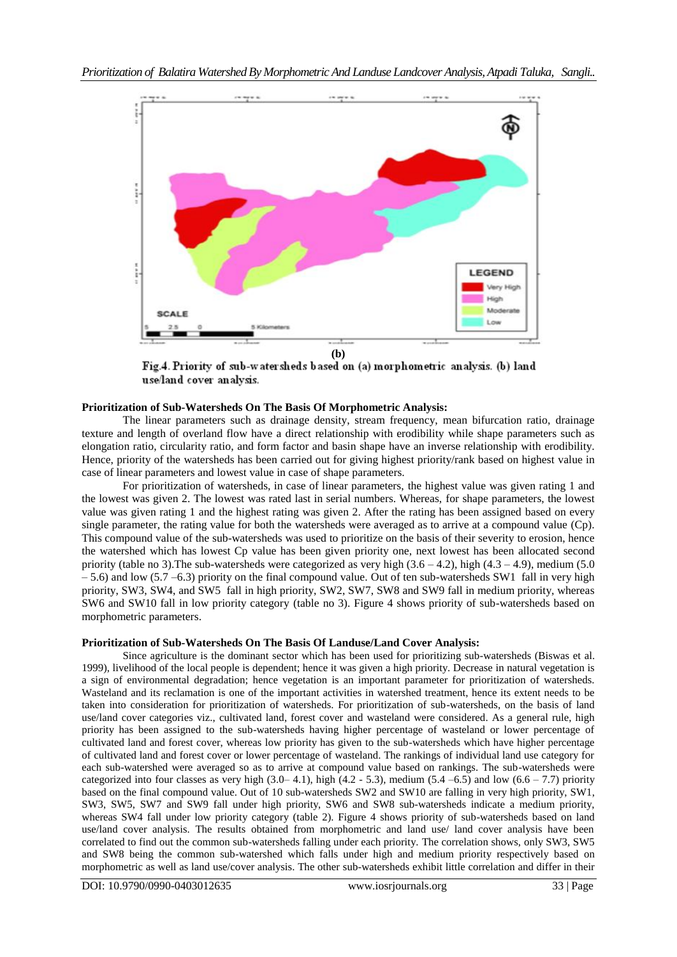

(b)<br>Fig.4. Priority of sub-watersheds based on (a) morphometric analysis. (b) land use/land cover analysis.

# **Prioritization of Sub-Watersheds On The Basis Of Morphometric Analysis:**

The linear parameters such as drainage density, stream frequency, mean bifurcation ratio, drainage texture and length of overland flow have a direct relationship with erodibility while shape parameters such as elongation ratio, circularity ratio, and form factor and basin shape have an inverse relationship with erodibility. Hence, priority of the watersheds has been carried out for giving highest priority/rank based on highest value in case of linear parameters and lowest value in case of shape parameters.

For prioritization of watersheds, in case of linear parameters, the highest value was given rating 1 and the lowest was given 2. The lowest was rated last in serial numbers. Whereas, for shape parameters, the lowest value was given rating 1 and the highest rating was given 2. After the rating has been assigned based on every single parameter, the rating value for both the watersheds were averaged as to arrive at a compound value (Cp). This compound value of the sub-watersheds was used to prioritize on the basis of their severity to erosion, hence the watershed which has lowest Cp value has been given priority one, next lowest has been allocated second priority (table no 3). The sub-watersheds were categorized as very high  $(3.6 - 4.2)$ , high  $(4.3 - 4.9)$ , medium (5.0) – 5.6) and low (5.7 –6.3) priority on the final compound value. Out of ten sub-watersheds SW1 fall in very high priority, SW3, SW4, and SW5 fall in high priority, SW2, SW7, SW8 and SW9 fall in medium priority, whereas SW6 and SW10 fall in low priority category (table no 3). Figure 4 shows priority of sub-watersheds based on morphometric parameters.

# **Prioritization of Sub-Watersheds On The Basis Of Landuse/Land Cover Analysis:**

Since agriculture is the dominant sector which has been used for prioritizing sub-watersheds (Biswas et al. 1999), livelihood of the local people is dependent; hence it was given a high priority. Decrease in natural vegetation is a sign of environmental degradation; hence vegetation is an important parameter for prioritization of watersheds. Wasteland and its reclamation is one of the important activities in watershed treatment, hence its extent needs to be taken into consideration for prioritization of watersheds. For prioritization of sub-watersheds, on the basis of land use/land cover categories viz., cultivated land, forest cover and wasteland were considered. As a general rule, high priority has been assigned to the sub-watersheds having higher percentage of wasteland or lower percentage of cultivated land and forest cover, whereas low priority has given to the sub-watersheds which have higher percentage of cultivated land and forest cover or lower percentage of wasteland. The rankings of individual land use category for each sub-watershed were averaged so as to arrive at compound value based on rankings. The sub-watersheds were categorized into four classes as very high  $(3.0-4.1)$ , high  $(4.2 - 5.3)$ , medium  $(5.4 - 6.5)$  and low  $(6.6 - 7.7)$  priority based on the final compound value. Out of 10 sub-watersheds SW2 and SW10 are falling in very high priority, SW1, SW3, SW5, SW7 and SW9 fall under high priority, SW6 and SW8 sub-watersheds indicate a medium priority, whereas SW4 fall under low priority category (table 2). Figure 4 shows priority of sub-watersheds based on land use/land cover analysis. The results obtained from morphometric and land use/ land cover analysis have been correlated to find out the common sub-watersheds falling under each priority. The correlation shows, only SW3, SW5 and SW8 being the common sub-watershed which falls under high and medium priority respectively based on morphometric as well as land use/cover analysis. The other sub-watersheds exhibit little correlation and differ in their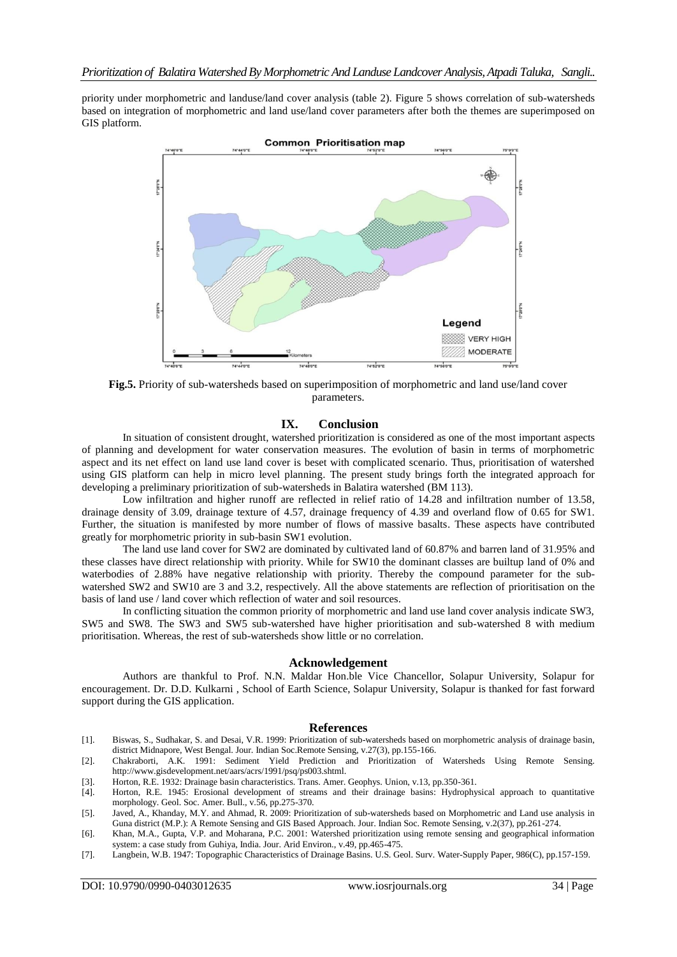priority under morphometric and landuse/land cover analysis (table 2). Figure 5 shows correlation of sub-watersheds based on integration of morphometric and land use/land cover parameters after both the themes are superimposed on GIS platform.



**Fig.5.** Priority of sub-watersheds based on superimposition of morphometric and land use/land cover parameters.

#### **IX. Conclusion**

In situation of consistent drought, watershed prioritization is considered as one of the most important aspects of planning and development for water conservation measures. The evolution of basin in terms of morphometric aspect and its net effect on land use land cover is beset with complicated scenario. Thus, prioritisation of watershed using GIS platform can help in micro level planning. The present study brings forth the integrated approach for developing a preliminary prioritization of sub-watersheds in Balatira watershed (BM 113).

Low infiltration and higher runoff are reflected in relief ratio of 14.28 and infiltration number of 13.58, drainage density of 3.09, drainage texture of 4.57, drainage frequency of 4.39 and overland flow of 0.65 for SW1. Further, the situation is manifested by more number of flows of massive basalts. These aspects have contributed greatly for morphometric priority in sub-basin SW1 evolution.

The land use land cover for SW2 are dominated by cultivated land of 60.87% and barren land of 31.95% and these classes have direct relationship with priority. While for SW10 the dominant classes are builtup land of 0% and waterbodies of 2.88% have negative relationship with priority. Thereby the compound parameter for the subwatershed SW2 and SW10 are 3 and 3.2, respectively. All the above statements are reflection of prioritisation on the basis of land use / land cover which reflection of water and soil resources.

In conflicting situation the common priority of morphometric and land use land cover analysis indicate SW3, SW5 and SW8. The SW3 and SW5 sub-watershed have higher prioritisation and sub-watershed 8 with medium prioritisation. Whereas, the rest of sub-watersheds show little or no correlation.

#### **Acknowledgement**

Authors are thankful to Prof. N.N. Maldar Hon.ble Vice Chancellor, Solapur University, Solapur for encouragement. Dr. D.D. Kulkarni , School of Earth Science, Solapur University, Solapur is thanked for fast forward support during the GIS application.

#### **References**

- [1]. Biswas, S., Sudhakar, S. and Desai, V.R. 1999: Prioritization of sub-watersheds based on morphometric analysis of drainage basin, district Midnapore, West Bengal. Jour. Indian Soc.Remote Sensing, v.27(3), pp.155-166.
- [2]. Chakraborti, A.K. 1991: Sediment Yield Prediction and Prioritization of Watersheds Using Remote Sensing. http:[//www.gisdevelopment.net/aars/acrs/1991/psq/ps003.shtml.](http://www.gisdevelopment.net/aars/acrs/1991/psq/ps003.shtml)
- [3]. Horton, R.E. 1932: Drainage basin characteristics. Trans. Amer. Geophys. Union, v.13, pp.350-361.
- [4]. Horton, R.E. 1945: Erosional development of streams and their drainage basins: Hydrophysical approach to quantitative morphology. Geol. Soc. Amer. Bull., v.56, pp.275-370.
- [5]. Javed, A., Khanday, M.Y. and Ahmad, R. 2009: Prioritization of sub-watersheds based on Morphometric and Land use analysis in Guna district (M.P.): A Remote Sensing and GIS Based Approach. Jour. Indian Soc. Remote Sensing, v.2(37), pp.261-274.
- [6]. Khan, M.A., Gupta, V.P. and Moharana, P.C. 2001: Watershed prioritization using remote sensing and geographical information system: a case study from Guhiya, India. Jour. Arid Environ., v.49, pp.465-475.
- [7]. Langbein, W.B. 1947: Topographic Characteristics of Drainage Basins. U.S. Geol. Surv*.* Water-Supply Paper, 986(C), pp.157-159.